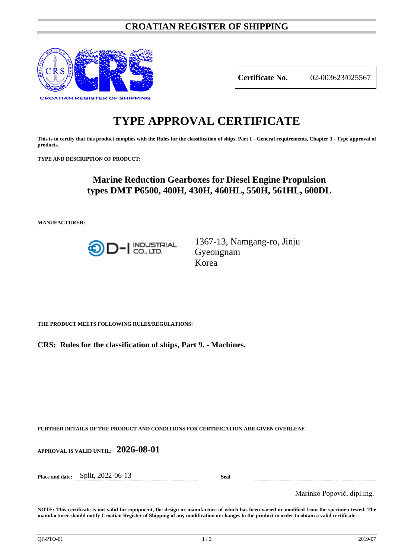## **CROATIAN REGISTER OF SHIPPING**



**Certificate No.** 02-003623/025567

# **TYPE APPROVAL CERTIFICATE**

**This is to certify that this product complies with the Rules for the classification of ships, Part 1 - General requirements, Chapter 3 - Type approval of products.**

**TYPE AND DESCRIPTION OF PRODUCT:** 

# **Marine Reduction Gearboxes for Diesel Engine Propulsion types DMT P6500, 400H, 430H, 460HL, 550H, 561HL, 600DL**

**MANUFACTURER:**



1367-13, Namgang-ro, Jinju Gyeongnam Korea

**THE PRODUCT MEETS FOLLOWING RULES/REGULATIONS:**

**CRS: Rules for the classification of ships, Part 9. - Machines.**

**FURTHER DETAILS OF THE PRODUCT AND CONDITIONS FOR CERTIFICATION ARE GIVEN OVERLEAF.**

**APPROVAL IS VALID UNTIL: 2026-08-01**

**Place and date:** Split, 2022-06-13 **Seal**

Marinko Popović, dipl.ing.

**NOTE: This certificate is not valid for equipment, the design or manufacture of which has been varied or modified from the specimen tested. The manufacturer should notify Croatian Register of Shipping of any modification or changes to the product in order to obtain a valid certificate.**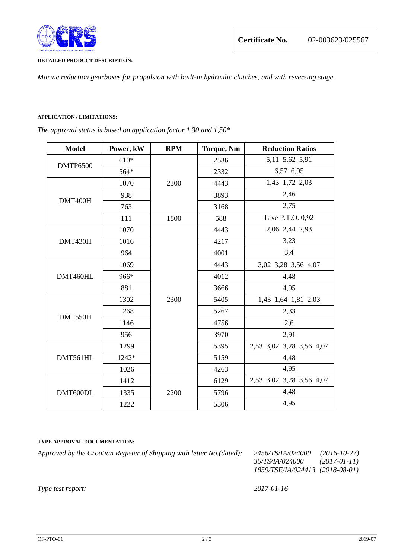

#### **DETAILED PRODUCT DESCRIPTION:**

*Marine reduction gearboxes for propulsion with built-in hydraulic clutches, and with reversing stage.*

### **APPLICATION / LIMITATIONS:**

*The approval status is based on application factor 1,30 and 1,50\**

| <b>Model</b>    | Power, kW | <b>RPM</b> | <b>Torque, Nm</b> | <b>Reduction Ratios</b>  |
|-----------------|-----------|------------|-------------------|--------------------------|
| <b>DMTP6500</b> | $610*$    | 2300       | 2536              | 5,11 5,62 5,91           |
|                 | 564*      |            | 2332              | 6,57 6,95                |
| DMT400H         | 1070      |            | 4443              | 1,43 1,72 2,03           |
|                 | 938       |            | 3893              | 2,46                     |
|                 | 763       |            | 3168              | 2,75                     |
|                 | 111       | 1800       | 588               | Live P.T.O. 0,92         |
| DMT430H         | 1070      | 2300       | 4443              | 2,06 2,44 2,93           |
|                 | 1016      |            | 4217              | 3,23                     |
|                 | 964       |            | 4001              | 3,4                      |
| DMT460HL        | 1069      |            | 4443              | 3,02 3,28 3,56 4,07      |
|                 | 966*      |            | 4012              | 4,48                     |
|                 | 881       |            | 3666              | 4,95                     |
| DMT550H         | 1302      |            | 5405              | 1,43 1,64 1,81 2,03      |
|                 | 1268      |            | 5267              | 2,33                     |
|                 | 1146      |            | 4756              | 2,6                      |
|                 | 956       |            | 3970              | 2,91                     |
| DMT561HL        | 1299      |            | 5395              | 2,53 3,02 3,28 3,56 4,07 |
|                 | 1242*     |            | 5159              | 4,48                     |
|                 | 1026      |            | 4263              | 4,95                     |
| DMT600DL        | 1412      | 2200       | 6129              | 2,53 3,02 3,28 3,56 4,07 |
|                 | 1335      |            | 5796              | 4,48                     |
|                 | 1222      |            | 5306              | 4,95                     |

#### **TYPE APPROVAL DOCUMENTATION:**

*Approved by the Croatian Register of Shipping with letter No.(dated): 2456/TS/IA/024000 (2016-10-27)*

*35/TS/IA/024000 (2017-01-11) 1859/TSE/IA/024413 (2018-08-01)*

*Type test report: 2017-01-16*